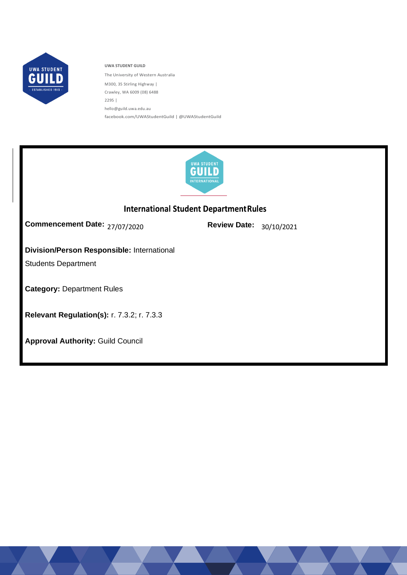

**UWA STUDENT GUILD** The University of Western Australia M300, 35 Stirling Highway | Crawley, WA 6009 (08) 6488 2295 | [hello@guild.uwa.edu.au](mailto:hello@guild.uwa.edu.au) facebook.com/UWAStudentGuild | @UWAStudentGuild



# **International Student Department Rules**

27/07/2020 30/10/2021 **Commencement Date: Review Date:**

# **Division/Person Responsible:** International

Students Department

**Category:** Department Rules

**Relevant Regulation(s):** r. 7.3.2; r. 7.3.3

**Approval Authority:** Guild Council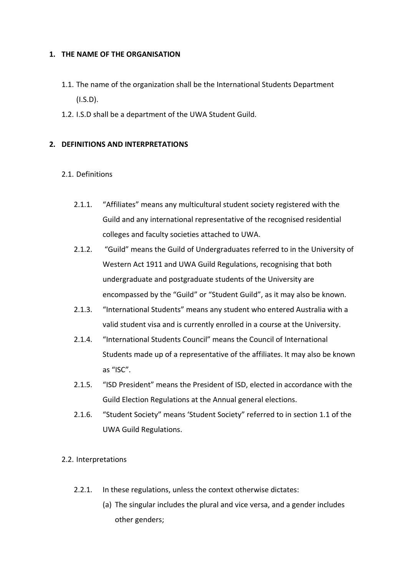### **1. THE NAME OF THE ORGANISATION**

- 1.1. The name of the organization shall be the International Students Department  $(I.S.D)$ .
- 1.2. I.S.D shall be a department of the UWA Student Guild.

## **2. DEFINITIONS AND INTERPRETATIONS**

## 2.1. Definitions

- 2.1.1. "Affiliates" means any multicultural student society registered with the Guild and any international representative of the recognised residential colleges and faculty societies attached to UWA.
- 2.1.2. "Guild" means the Guild of Undergraduates referred to in the University of Western Act 1911 and UWA Guild Regulations, recognising that both undergraduate and postgraduate students of the University are encompassed by the "Guild" or "Student Guild", as it may also be known.
- 2.1.3. "International Students" means any student who entered Australia with a valid student visa and is currently enrolled in a course at the University.
- 2.1.4. "International Students Council" means the Council of International Students made up of a representative of the affiliates. It may also be known as "ISC".
- 2.1.5. "ISD President" means the President of ISD, elected in accordance with the Guild Election Regulations at the Annual general elections.
- 2.1.6. "Student Society" means 'Student Society" referred to in section 1.1 of the UWA Guild Regulations.
- 2.2. Interpretations
	- 2.2.1. In these regulations, unless the context otherwise dictates:
		- (a) The singular includes the plural and vice versa, and a gender includes other genders;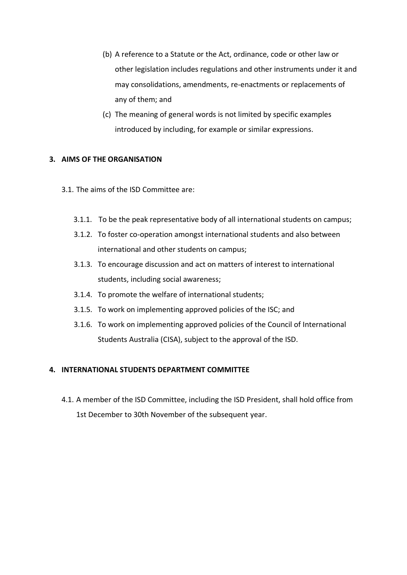- (b) A reference to a Statute or the Act, ordinance, code or other law or other legislation includes regulations and other instruments under it and may consolidations, amendments, re-enactments or replacements of any of them; and
- (c) The meaning of general words is not limited by specific examples introduced by including, for example or similar expressions.

## **3. AIMS OF THE ORGANISATION**

- 3.1. The aims of the ISD Committee are:
	- 3.1.1. To be the peak representative body of all international students on campus;
	- 3.1.2. To foster co-operation amongst international students and also between international and other students on campus;
	- 3.1.3. To encourage discussion and act on matters of interest to international students, including social awareness;
	- 3.1.4. To promote the welfare of international students;
	- 3.1.5. To work on implementing approved policies of the ISC; and
	- 3.1.6. To work on implementing approved policies of the Council of International Students Australia (CISA), subject to the approval of the ISD.

## **4. INTERNATIONAL STUDENTS DEPARTMENT COMMITTEE**

4.1. A member of the ISD Committee, including the ISD President, shall hold office from 1st December to 30th November of the subsequent year.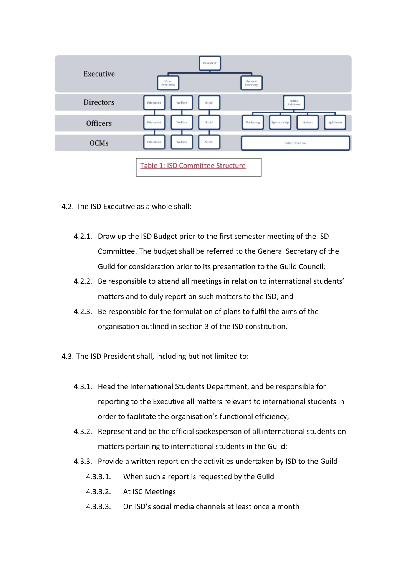

- 4.2. The ISD Executive as a whole shall:
	- 4.2.1. Draw up the ISD Budget prior to the first semester meeting of the ISD Committee. The budget shall be referred to the General Secretary of the Guild for consideration prior to its presentation to the Guild Council;
	- 4.2.2. Be responsible to attend all meetings in relation to international students' matters and to duly report on such matters to the ISD; and
	- 4.2.3. Be responsible for the formulation of plans to fulfil the aims of the organisation outlined in section 3 of the ISD constitution.
- 4.3. The ISD President shall, including but not limited to:
	- 4.3.1. Head the International Students Department, and be responsible for reporting to the Executive all matters relevant to international students in order to facilitate the organisation's functional efficiency;
	- 4.3.2. Represent and be the official spokesperson of all international students on matters pertaining to international students in the Guild;
	- 4.3.3. Provide a written report on the activities undertaken by ISD to the Guild
		- 4.3.3.1. When such a report is requested by the Guild
		- 4.3.3.2. At ISC Meetings
		- 4.3.3.3. On ISD's social media channels at least once a month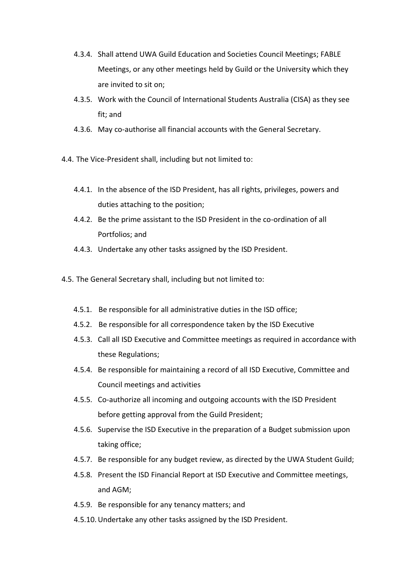- 4.3.4. Shall attend UWA Guild Education and Societies Council Meetings; FABLE Meetings, or any other meetings held by Guild or the University which they are invited to sit on;
- 4.3.5. Work with the Council of International Students Australia (CISA) as they see fit; and
- 4.3.6. May co-authorise all financial accounts with the General Secretary.
- 4.4. The Vice-President shall, including but not limited to:
	- 4.4.1. In the absence of the ISD President, has all rights, privileges, powers and duties attaching to the position;
	- 4.4.2. Be the prime assistant to the ISD President in the co-ordination of all Portfolios; and
	- 4.4.3. Undertake any other tasks assigned by the ISD President.
- 4.5. The General Secretary shall, including but not limited to:
	- 4.5.1. Be responsible for all administrative duties in the ISD office;
	- 4.5.2. Be responsible for all correspondence taken by the ISD Executive
	- 4.5.3. Call all ISD Executive and Committee meetings as required in accordance with these Regulations;
	- 4.5.4. Be responsible for maintaining a record of all ISD Executive, Committee and Council meetings and activities
	- 4.5.5. Co-authorize all incoming and outgoing accounts with the ISD President before getting approval from the Guild President;
	- 4.5.6. Supervise the ISD Executive in the preparation of a Budget submission upon taking office;
	- 4.5.7. Be responsible for any budget review, as directed by the UWA Student Guild;
	- 4.5.8. Present the ISD Financial Report at ISD Executive and Committee meetings, and AGM;
	- 4.5.9. Be responsible for any tenancy matters; and
	- 4.5.10.Undertake any other tasks assigned by the ISD President.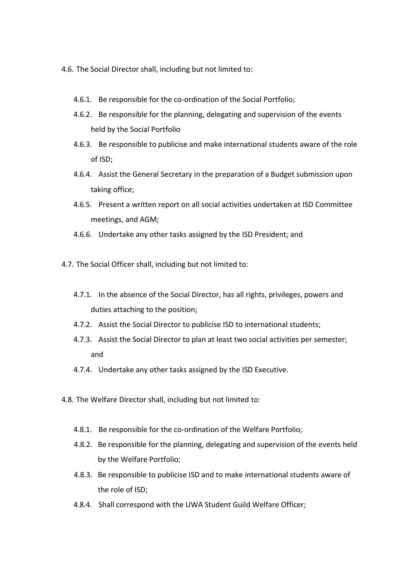- 4.6. The Social Director shall, including but not limited to:
	- 4.6.1. Be responsible for the co-ordination of the Social Portfolio;
	- 4.6.2. Be responsible for the planning, delegating and supervision of the events held by the Social Portfolio
	- 4.6.3. Be responsible to publicise and make international students aware of the role of ISD;
	- 4.6.4. Assist the General Secretary in the preparation of a Budget submission upon taking office;
	- 4.6.5. Present a written report on all social activities undertaken at ISD Committee meetings, and AGM;
	- 4.6.6. Undertake any other tasks assigned by the ISD President; and
- 4.7. The Social Officer shall, including but not limited to:
	- 4.7.1. In the absence of the Social Director, has all rights, privileges, powers and duties attaching to the position;
	- 4.7.2. Assist the Social Director to publicise ISD to international students;
	- 4.7.3. Assist the Social Director to plan at least two social activities per semester; and
	- 4.7.4. Undertake any other tasks assigned by the ISD Executive.
- 4.8. The Welfare Director shall, including but not limited to:
	- 4.8.1. Be responsible for the co-ordination of the Welfare Portfolio;
	- 4.8.2. Be responsible for the planning, delegating and supervision of the events held by the Welfare Portfolio;
	- 4.8.3. Be responsible to publicise ISD and to make international students aware of the role of ISD;
	- 4.8.4. Shall correspond with the UWA Student Guild Welfare Officer;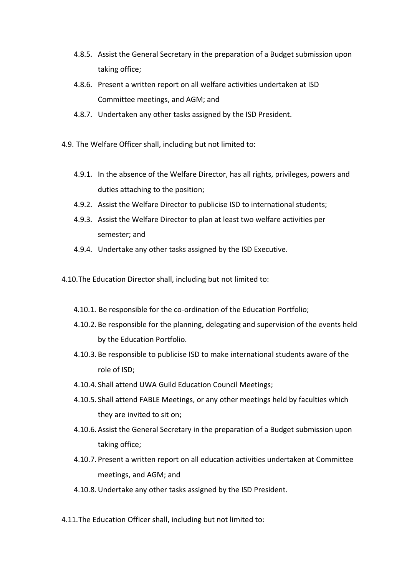- 4.8.5. Assist the General Secretary in the preparation of a Budget submission upon taking office;
- 4.8.6. Present a written report on all welfare activities undertaken at ISD Committee meetings, and AGM; and
- 4.8.7. Undertaken any other tasks assigned by the ISD President.
- 4.9. The Welfare Officer shall, including but not limited to:
	- 4.9.1. In the absence of the Welfare Director, has all rights, privileges, powers and duties attaching to the position;
	- 4.9.2. Assist the Welfare Director to publicise ISD to international students;
	- 4.9.3. Assist the Welfare Director to plan at least two welfare activities per semester; and
	- 4.9.4. Undertake any other tasks assigned by the ISD Executive.
- 4.10.The Education Director shall, including but not limited to:
	- 4.10.1. Be responsible for the co-ordination of the Education Portfolio;
	- 4.10.2. Be responsible for the planning, delegating and supervision of the events held by the Education Portfolio.
	- 4.10.3. Be responsible to publicise ISD to make international students aware of the role of ISD;
	- 4.10.4. Shall attend UWA Guild Education Council Meetings;
	- 4.10.5. Shall attend FABLE Meetings, or any other meetings held by faculties which they are invited to sit on;
	- 4.10.6.Assist the General Secretary in the preparation of a Budget submission upon taking office;
	- 4.10.7. Present a written report on all education activities undertaken at Committee meetings, and AGM; and
	- 4.10.8.Undertake any other tasks assigned by the ISD President.
- 4.11.The Education Officer shall, including but not limited to: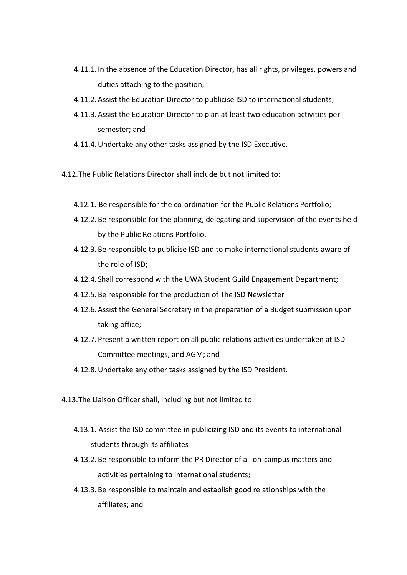- 4.11.1. In the absence of the Education Director, has all rights, privileges, powers and duties attaching to the position;
- 4.11.2.Assist the Education Director to publicise ISD to international students;
- 4.11.3.Assist the Education Director to plan at least two education activities per semester; and
- 4.11.4.Undertake any other tasks assigned by the ISD Executive.
- 4.12.The Public Relations Director shall include but not limited to:
	- 4.12.1. Be responsible for the co-ordination for the Public Relations Portfolio;
	- 4.12.2. Be responsible for the planning, delegating and supervision of the events held by the Public Relations Portfolio.
	- 4.12.3. Be responsible to publicise ISD and to make international students aware of the role of ISD;
	- 4.12.4. Shall correspond with the UWA Student Guild Engagement Department;
	- 4.12.5. Be responsible for the production of The ISD Newsletter
	- 4.12.6.Assist the General Secretary in the preparation of a Budget submission upon taking office;
	- 4.12.7. Present a written report on all public relations activities undertaken at ISD Committee meetings, and AGM; and
	- 4.12.8.Undertake any other tasks assigned by the ISD President.
- 4.13.The Liaison Officer shall, including but not limited to:
	- 4.13.1. Assist the ISD committee in publicizing ISD and its events to international students through its affiliates
	- 4.13.2. Be responsible to inform the PR Director of all on-campus matters and activities pertaining to international students;
	- 4.13.3. Be responsible to maintain and establish good relationships with the affiliates; and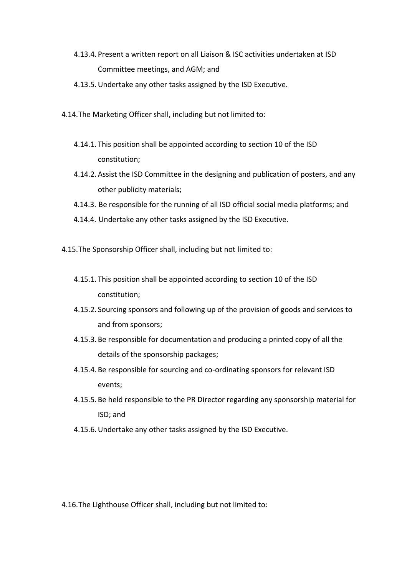- 4.13.4. Present a written report on all Liaison & ISC activities undertaken at ISD Committee meetings, and AGM; and
- 4.13.5.Undertake any other tasks assigned by the ISD Executive.
- 4.14.The Marketing Officer shall, including but not limited to:
	- 4.14.1. This position shall be appointed according to section 10 of the ISD constitution;
	- 4.14.2.Assist the ISD Committee in the designing and publication of posters, and any other publicity materials;
	- 4.14.3. Be responsible for the running of all ISD official social media platforms; and
	- 4.14.4. Undertake any other tasks assigned by the ISD Executive.
- 4.15.The Sponsorship Officer shall, including but not limited to:
	- 4.15.1. This position shall be appointed according to section 10 of the ISD constitution;
	- 4.15.2. Sourcing sponsors and following up of the provision of goods and services to and from sponsors;
	- 4.15.3. Be responsible for documentation and producing a printed copy of all the details of the sponsorship packages;
	- 4.15.4. Be responsible for sourcing and co-ordinating sponsors for relevant ISD events;
	- 4.15.5. Be held responsible to the PR Director regarding any sponsorship material for ISD; and
	- 4.15.6.Undertake any other tasks assigned by the ISD Executive.

4.16.The Lighthouse Officer shall, including but not limited to: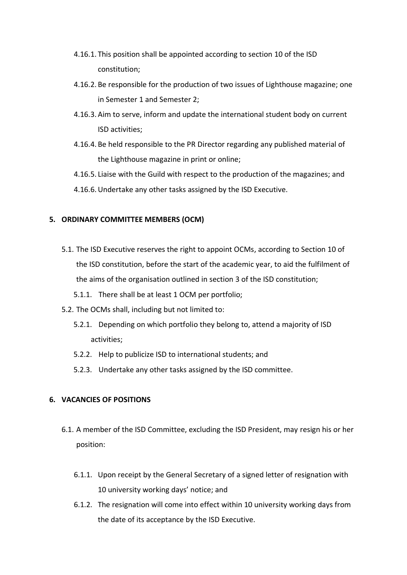- 4.16.1. This position shall be appointed according to section 10 of the ISD constitution;
- 4.16.2. Be responsible for the production of two issues of Lighthouse magazine; one in Semester 1 and Semester 2;
- 4.16.3.Aim to serve, inform and update the international student body on current ISD activities;
- 4.16.4. Be held responsible to the PR Director regarding any published material of the Lighthouse magazine in print or online;
- 4.16.5. Liaise with the Guild with respect to the production of the magazines; and
- 4.16.6.Undertake any other tasks assigned by the ISD Executive.

### **5. ORDINARY COMMITTEE MEMBERS (OCM)**

- 5.1. The ISD Executive reserves the right to appoint OCMs, according to Section 10 of the ISD constitution, before the start of the academic year, to aid the fulfilment of the aims of the organisation outlined in section 3 of the ISD constitution;
	- 5.1.1. There shall be at least 1 OCM per portfolio;
- 5.2. The OCMs shall, including but not limited to:
	- 5.2.1. Depending on which portfolio they belong to, attend a majority of ISD activities;
	- 5.2.2. Help to publicize ISD to international students; and
	- 5.2.3. Undertake any other tasks assigned by the ISD committee.

## **6. VACANCIES OF POSITIONS**

- 6.1. A member of the ISD Committee, excluding the ISD President, may resign his or her position:
	- 6.1.1. Upon receipt by the General Secretary of a signed letter of resignation with 10 university working days' notice; and
	- 6.1.2. The resignation will come into effect within 10 university working days from the date of its acceptance by the ISD Executive.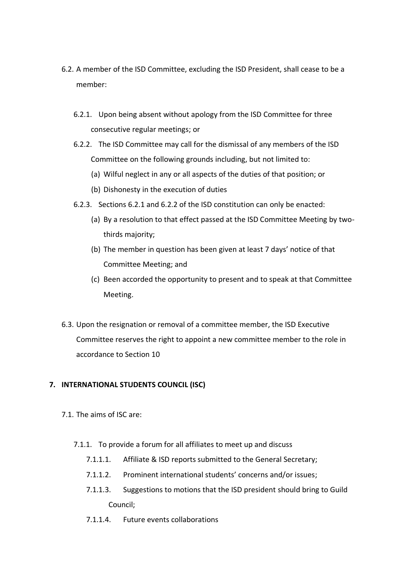- 6.2. A member of the ISD Committee, excluding the ISD President, shall cease to be a member:
	- 6.2.1. Upon being absent without apology from the ISD Committee for three consecutive regular meetings; or
	- 6.2.2. The ISD Committee may call for the dismissal of any members of the ISD Committee on the following grounds including, but not limited to:
		- (a) Wilful neglect in any or all aspects of the duties of that position; or
		- (b) Dishonesty in the execution of duties
	- 6.2.3. Sections 6.2.1 and 6.2.2 of the ISD constitution can only be enacted:
		- (a) By a resolution to that effect passed at the ISD Committee Meeting by twothirds majority;
		- (b) The member in question has been given at least 7 days' notice of that Committee Meeting; and
		- (c) Been accorded the opportunity to present and to speak at that Committee Meeting.
- 6.3. Upon the resignation or removal of a committee member, the ISD Executive Committee reserves the right to appoint a new committee member to the role in accordance to Section 10

# **7. INTERNATIONAL STUDENTS COUNCIL (ISC)**

- 7.1. The aims of ISC are:
	- 7.1.1. To provide a forum for all affiliates to meet up and discuss
		- 7.1.1.1. Affiliate & ISD reports submitted to the General Secretary;
		- 7.1.1.2. Prominent international students' concerns and/or issues;
		- 7.1.1.3. Suggestions to motions that the ISD president should bring to Guild Council;
		- 7.1.1.4. Future events collaborations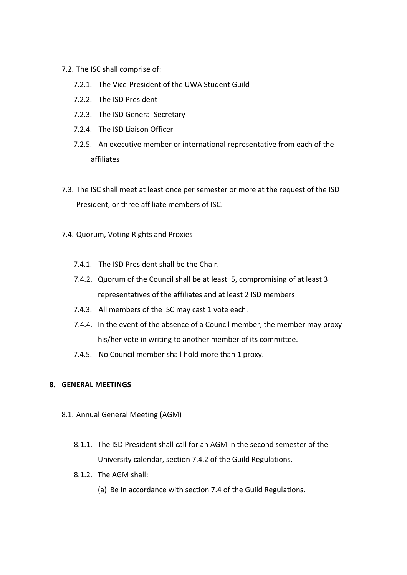- 7.2. The ISC shall comprise of:
	- 7.2.1. The Vice-President of the UWA Student Guild
	- 7.2.2. The ISD President
	- 7.2.3. The ISD General Secretary
	- 7.2.4. The ISD Liaison Officer
	- 7.2.5. An executive member or international representative from each of the affiliates
- 7.3. The ISC shall meet at least once per semester or more at the request of the ISD President, or three affiliate members of ISC.
- 7.4. Quorum, Voting Rights and Proxies
	- 7.4.1. The ISD President shall be the Chair.
	- 7.4.2. Quorum of the Council shall be at least 5, compromising of at least 3 representatives of the affiliates and at least 2 ISD members
	- 7.4.3. All members of the ISC may cast 1 vote each.
	- 7.4.4. In the event of the absence of a Council member, the member may proxy his/her vote in writing to another member of its committee.
	- 7.4.5. No Council member shall hold more than 1 proxy.

### **8. GENERAL MEETINGS**

- 8.1. Annual General Meeting (AGM)
	- 8.1.1. The ISD President shall call for an AGM in the second semester of the University calendar, section 7.4.2 of the Guild Regulations.
	- 8.1.2. The AGM shall:
		- (a) Be in accordance with section 7.4 of the Guild Regulations.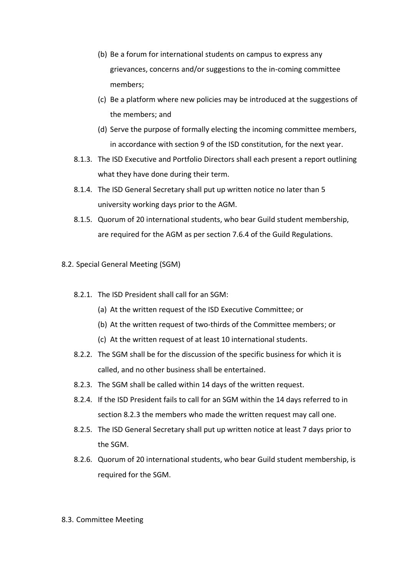- (b) Be a forum for international students on campus to express any grievances, concerns and/or suggestions to the in-coming committee members;
- (c) Be a platform where new policies may be introduced at the suggestions of the members; and
- (d) Serve the purpose of formally electing the incoming committee members, in accordance with section 9 of the ISD constitution, for the next year.
- 8.1.3. The ISD Executive and Portfolio Directors shall each present a report outlining what they have done during their term.
- 8.1.4. The ISD General Secretary shall put up written notice no later than 5 university working days prior to the AGM.
- 8.1.5. Quorum of 20 international students, who bear Guild student membership, are required for the AGM as per section 7.6.4 of the Guild Regulations.
- 8.2. Special General Meeting (SGM)
	- 8.2.1. The ISD President shall call for an SGM:
		- (a) At the written request of the ISD Executive Committee; or
		- (b) At the written request of two-thirds of the Committee members; or
		- (c) At the written request of at least 10 international students.
	- 8.2.2. The SGM shall be for the discussion of the specific business for which it is called, and no other business shall be entertained.
	- 8.2.3. The SGM shall be called within 14 days of the written request.
	- 8.2.4. If the ISD President fails to call for an SGM within the 14 days referred to in section 8.2.3 the members who made the written request may call one.
	- 8.2.5. The ISD General Secretary shall put up written notice at least 7 days prior to the SGM.
	- 8.2.6. Quorum of 20 international students, who bear Guild student membership, is required for the SGM.

#### 8.3. Committee Meeting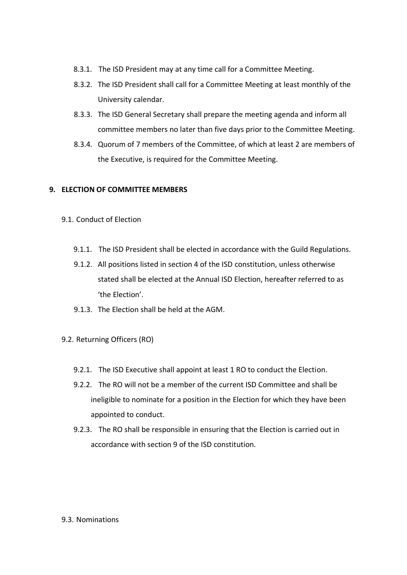- 8.3.1. The ISD President may at any time call for a Committee Meeting.
- 8.3.2. The ISD President shall call for a Committee Meeting at least monthly of the University calendar.
- 8.3.3. The ISD General Secretary shall prepare the meeting agenda and inform all committee members no later than five days prior to the Committee Meeting.
- 8.3.4. Quorum of 7 members of the Committee, of which at least 2 are members of the Executive, is required for the Committee Meeting.

## **9. ELECTION OF COMMITTEE MEMBERS**

- 9.1. Conduct of Election
	- 9.1.1. The ISD President shall be elected in accordance with the Guild Regulations.
	- 9.1.2. All positions listed in section 4 of the ISD constitution, unless otherwise stated shall be elected at the Annual ISD Election, hereafter referred to as 'the Election'.
	- 9.1.3. The Election shall be held at the AGM.
- 9.2. Returning Officers (RO)
	- 9.2.1. The ISD Executive shall appoint at least 1 RO to conduct the Election.
	- 9.2.2. The RO will not be a member of the current ISD Committee and shall be ineligible to nominate for a position in the Election for which they have been appointed to conduct.
	- 9.2.3. The RO shall be responsible in ensuring that the Election is carried out in accordance with section 9 of the ISD constitution.

### 9.3. Nominations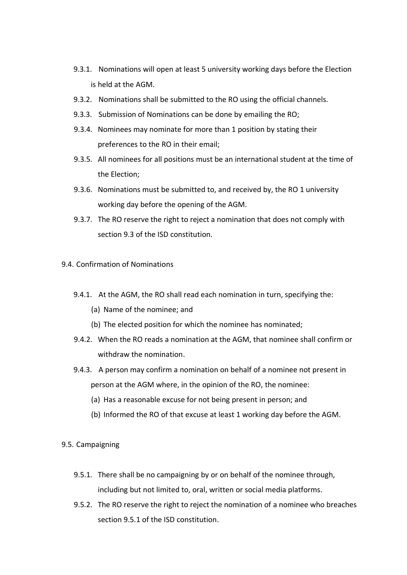- 9.3.1. Nominations will open at least 5 university working days before the Election is held at the AGM.
- 9.3.2. Nominations shall be submitted to the RO using the official channels.
- 9.3.3. Submission of Nominations can be done by emailing the RO;
- 9.3.4. Nominees may nominate for more than 1 position by stating their preferences to the RO in their email;
- 9.3.5. All nominees for all positions must be an international student at the time of the Election;
- 9.3.6. Nominations must be submitted to, and received by, the RO 1 university working day before the opening of the AGM.
- 9.3.7. The RO reserve the right to reject a nomination that does not comply with section 9.3 of the ISD constitution.
- 9.4. Confirmation of Nominations
	- 9.4.1. At the AGM, the RO shall read each nomination in turn, specifying the:
		- (a) Name of the nominee; and
		- (b) The elected position for which the nominee has nominated;
	- 9.4.2. When the RO reads a nomination at the AGM, that nominee shall confirm or withdraw the nomination.
	- 9.4.3. A person may confirm a nomination on behalf of a nominee not present in person at the AGM where, in the opinion of the RO, the nominee:
		- (a) Has a reasonable excuse for not being present in person; and
		- (b) Informed the RO of that excuse at least 1 working day before the AGM.
- 9.5. Campaigning
	- 9.5.1. There shall be no campaigning by or on behalf of the nominee through, including but not limited to, oral, written or social media platforms.
	- 9.5.2. The RO reserve the right to reject the nomination of a nominee who breaches section 9.5.1 of the ISD constitution.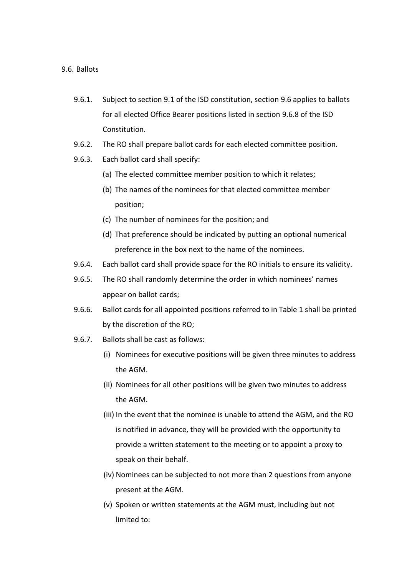#### 9.6. Ballots

- 9.6.1. Subject to section 9.1 of the ISD constitution, section 9.6 applies to ballots for all elected Office Bearer positions listed in section 9.6.8 of the ISD Constitution.
- 9.6.2. The RO shall prepare ballot cards for each elected committee position.
- 9.6.3. Each ballot card shall specify:
	- (a) The elected committee member position to which it relates;
	- (b) The names of the nominees for that elected committee member position;
	- (c) The number of nominees for the position; and
	- (d) That preference should be indicated by putting an optional numerical preference in the box next to the name of the nominees.
- 9.6.4. Each ballot card shall provide space for the RO initials to ensure its validity.
- 9.6.5. The RO shall randomly determine the order in which nominees' names appear on ballot cards;
- 9.6.6. Ballot cards for all appointed positions referred to in Table 1 shall be printed by the discretion of the RO;
- 9.6.7. Ballots shall be cast as follows:
	- (i) Nominees for executive positions will be given three minutes to address the AGM.
	- (ii) Nominees for all other positions will be given two minutes to address the AGM.
	- (iii) In the event that the nominee is unable to attend the AGM, and the RO is notified in advance, they will be provided with the opportunity to provide a written statement to the meeting or to appoint a proxy to speak on their behalf.
	- (iv) Nominees can be subjected to not more than 2 questions from anyone present at the AGM.
	- (v) Spoken or written statements at the AGM must, including but not limited to: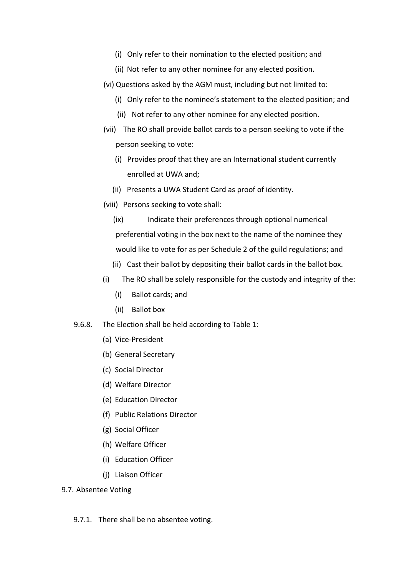- (i) Only refer to their nomination to the elected position; and
- (ii) Not refer to any other nominee for any elected position.
- (vi) Questions asked by the AGM must, including but not limited to:
	- (i) Only refer to the nominee's statement to the elected position; and
	- (ii) Not refer to any other nominee for any elected position.
- (vii) The RO shall provide ballot cards to a person seeking to vote if the person seeking to vote:
	- (i) Provides proof that they are an International student currently enrolled at UWA and;
	- (ii) Presents a UWA Student Card as proof of identity.
- (viii) Persons seeking to vote shall:
	- (ix) Indicate their preferences through optional numerical preferential voting in the box next to the name of the nominee they would like to vote for as per Schedule 2 of the guild regulations; and
	- (ii) Cast their ballot by depositing their ballot cards in the ballot box.
- (i) The RO shall be solely responsible for the custody and integrity of the:
	- (i) Ballot cards; and
	- (ii) Ballot box
- 9.6.8. The Election shall be held according to Table 1:
	- (a) Vice-President
	- (b) General Secretary
	- (c) Social Director
	- (d) Welfare Director
	- (e) Education Director
	- (f) Public Relations Director
	- (g) Social Officer
	- (h) Welfare Officer
	- (i) Education Officer
	- (j) Liaison Officer

### 9.7. Absentee Voting

9.7.1. There shall be no absentee voting.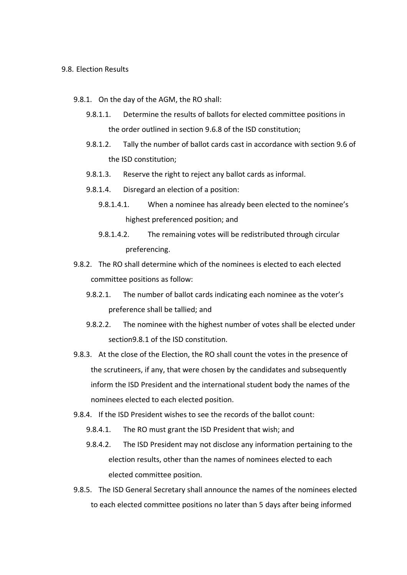#### 9.8. Election Results

- 9.8.1. On the day of the AGM, the RO shall:
	- 9.8.1.1. Determine the results of ballots for elected committee positions in the order outlined in section 9.6.8 of the ISD constitution;
	- 9.8.1.2. Tally the number of ballot cards cast in accordance with section 9.6 of the ISD constitution;
	- 9.8.1.3. Reserve the right to reject any ballot cards as informal.
	- 9.8.1.4. Disregard an election of a position:
		- 9.8.1.4.1. When a nominee has already been elected to the nominee's highest preferenced position; and
		- 9.8.1.4.2. The remaining votes will be redistributed through circular preferencing.
- 9.8.2. The RO shall determine which of the nominees is elected to each elected committee positions as follow:
	- 9.8.2.1. The number of ballot cards indicating each nominee as the voter's preference shall be tallied; and
	- 9.8.2.2. The nominee with the highest number of votes shall be elected under section9.8.1 of the ISD constitution.
- 9.8.3. At the close of the Election, the RO shall count the votes in the presence of the scrutineers, if any, that were chosen by the candidates and subsequently inform the ISD President and the international student body the names of the nominees elected to each elected position.
- 9.8.4. If the ISD President wishes to see the records of the ballot count:
	- 9.8.4.1. The RO must grant the ISD President that wish; and
	- 9.8.4.2. The ISD President may not disclose any information pertaining to the election results, other than the names of nominees elected to each elected committee position.
- 9.8.5. The ISD General Secretary shall announce the names of the nominees elected to each elected committee positions no later than 5 days after being informed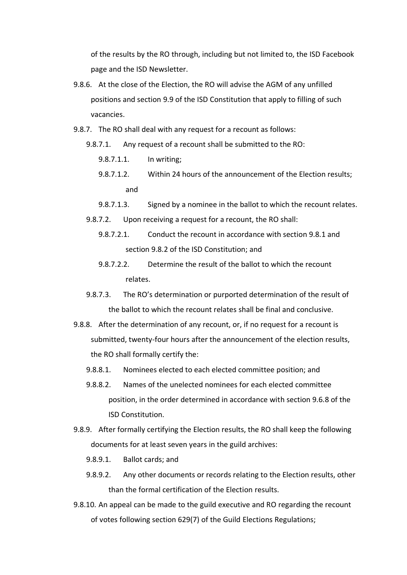of the results by the RO through, including but not limited to, the ISD Facebook page and the ISD Newsletter.

- 9.8.6. At the close of the Election, the RO will advise the AGM of any unfilled positions and section 9.9 of the ISD Constitution that apply to filling of such vacancies.
- 9.8.7. The RO shall deal with any request for a recount as follows:
	- 9.8.7.1. Any request of a recount shall be submitted to the RO:
		- 9.8.7.1.1. In writing;
		- 9.8.7.1.2. Within 24 hours of the announcement of the Election results; and
		- 9.8.7.1.3. Signed by a nominee in the ballot to which the recount relates.
	- 9.8.7.2. Upon receiving a request for a recount, the RO shall:
		- 9.8.7.2.1. Conduct the recount in accordance with section 9.8.1 and section 9.8.2 of the ISD Constitution; and
		- 9.8.7.2.2. Determine the result of the ballot to which the recount relates.
	- 9.8.7.3. The RO's determination or purported determination of the result of the ballot to which the recount relates shall be final and conclusive.
- 9.8.8. After the determination of any recount, or, if no request for a recount is submitted, twenty-four hours after the announcement of the election results, the RO shall formally certify the:
	- 9.8.8.1. Nominees elected to each elected committee position; and
	- 9.8.8.2. Names of the unelected nominees for each elected committee position, in the order determined in accordance with section 9.6.8 of the ISD Constitution.
- 9.8.9. After formally certifying the Election results, the RO shall keep the following documents for at least seven years in the guild archives:
	- 9.8.9.1. Ballot cards; and
	- 9.8.9.2. Any other documents or records relating to the Election results, other than the formal certification of the Election results.
- 9.8.10. An appeal can be made to the guild executive and RO regarding the recount of votes following section 629(7) of the Guild Elections Regulations;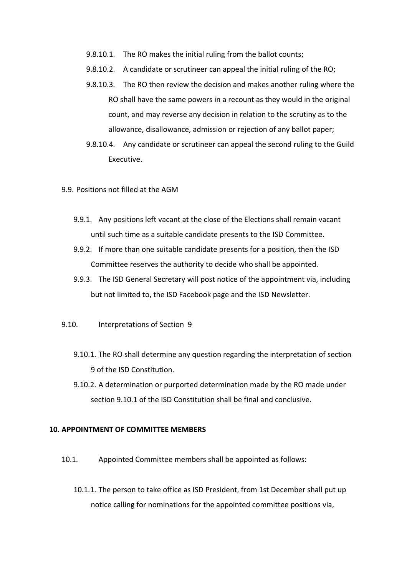- 9.8.10.1. The RO makes the initial ruling from the ballot counts;
- 9.8.10.2. A candidate or scrutineer can appeal the initial ruling of the RO;
- 9.8.10.3. The RO then review the decision and makes another ruling where the RO shall have the same powers in a recount as they would in the original count, and may reverse any decision in relation to the scrutiny as to the allowance, disallowance, admission or rejection of any ballot paper;
- 9.8.10.4. Any candidate or scrutineer can appeal the second ruling to the Guild Executive.
- 9.9. Positions not filled at the AGM
	- 9.9.1. Any positions left vacant at the close of the Elections shall remain vacant until such time as a suitable candidate presents to the ISD Committee.
	- 9.9.2. If more than one suitable candidate presents for a position, then the ISD Committee reserves the authority to decide who shall be appointed.
	- 9.9.3. The ISD General Secretary will post notice of the appointment via, including but not limited to, the ISD Facebook page and the ISD Newsletter.
- 9.10. Interpretations of Section 9
	- 9.10.1. The RO shall determine any question regarding the interpretation of section 9 of the ISD Constitution.
	- 9.10.2. A determination or purported determination made by the RO made under section 9.10.1 of the ISD Constitution shall be final and conclusive.

#### **10. APPOINTMENT OF COMMITTEE MEMBERS**

- 10.1. Appointed Committee members shall be appointed as follows:
	- 10.1.1. The person to take office as ISD President, from 1st December shall put up notice calling for nominations for the appointed committee positions via,